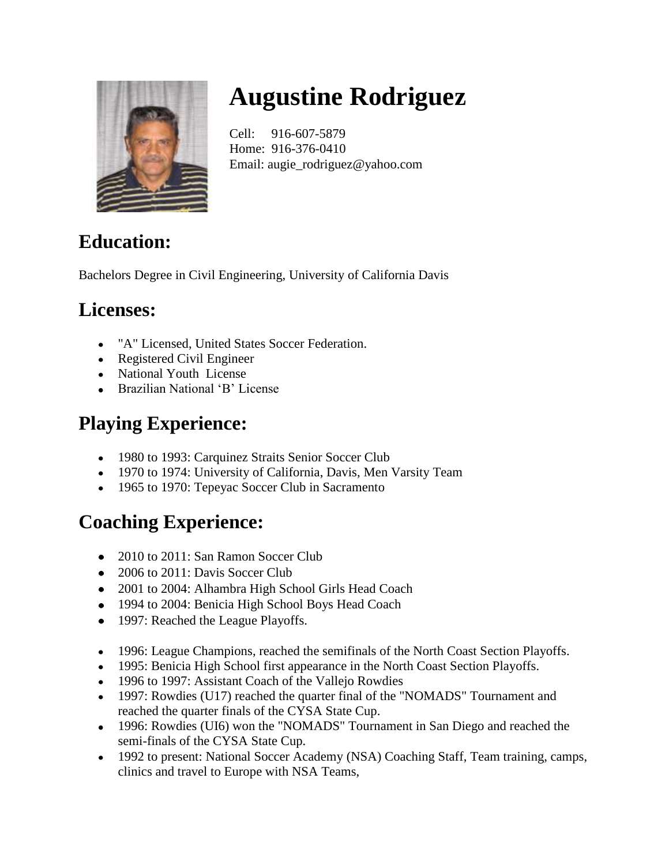

# **Augustine Rodriguez**

Cell: 916-607-5879 Home: 916-376-0410 Email: augie\_rodriguez@yahoo.com

## **Education:**

Bachelors Degree in Civil Engineering, University of California Davis

### **Licenses:**

- "A" Licensed, United States Soccer Federation.
- Registered Civil Engineer
- National Youth License
- Brazilian National 'B' License

## **Playing Experience:**

- 1980 to 1993: Carquinez Straits Senior Soccer Club
- 1970 to 1974: University of California, Davis, Men Varsity Team
- 1965 to 1970: Tepeyac Soccer Club in Sacramento

## **Coaching Experience:**

- 2010 to 2011: San Ramon Soccer Club
- 2006 to 2011: Davis Soccer Club
- 2001 to 2004: Alhambra High School Girls Head Coach
- 1994 to 2004: Benicia High School Boys Head Coach
- 1997: Reached the League Playoffs.
- 1996: League Champions, reached the semifinals of the North Coast Section Playoffs.
- 1995: Benicia High School first appearance in the North Coast Section Playoffs.
- 1996 to 1997: Assistant Coach of the Vallejo Rowdies
- 1997: Rowdies (U17) reached the quarter final of the "NOMADS" Tournament and reached the quarter finals of the CYSA State Cup.
- 1996: Rowdies (UI6) won the "NOMADS" Tournament in San Diego and reached the semi-finals of the CYSA State Cup.
- 1992 to present: National Soccer Academy (NSA) Coaching Staff, Team training, camps, clinics and travel to Europe with NSA Teams,